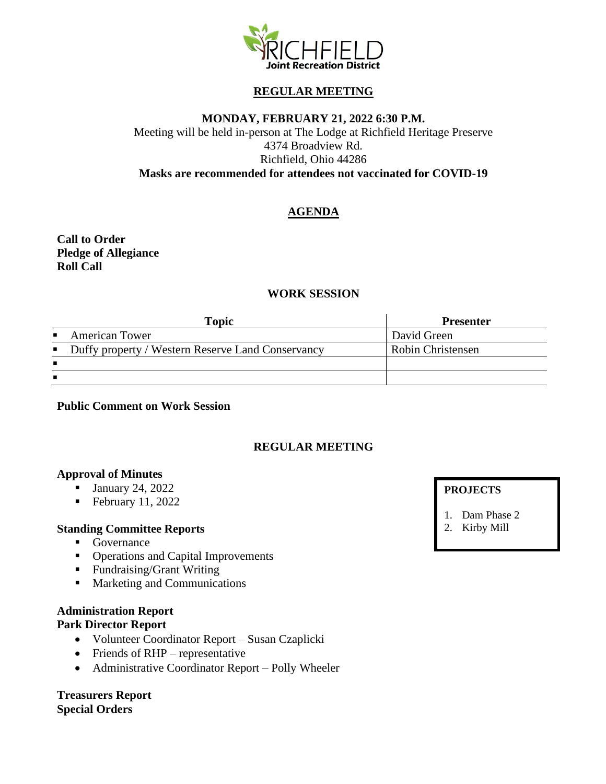

# **REGULAR MEETING**

## **MONDAY, FEBRUARY 21, 2022 6:30 P.M.**

Meeting will be held in-person at The Lodge at Richfield Heritage Preserve 4374 Broadview Rd. Richfield, Ohio 44286 **Masks are recommended for attendees not vaccinated for COVID-19**

# **AGENDA**

**Call to Order Pledge of Allegiance Roll Call**

# **WORK SESSION**

| <b>Topic</b>                                        | <b>Presenter</b>  |
|-----------------------------------------------------|-------------------|
| • American Tower                                    | David Green       |
| • Duffy property / Western Reserve Land Conservancy | Robin Christensen |
|                                                     |                   |
|                                                     |                   |

**Public Comment on Work Session**

# **REGULAR MEETING**

#### **Approval of Minutes**

- January 24, 2022
- $\blacksquare$  February 11, 2022

### **Standing Committee Reports**

- Governance
- Operations and Capital Improvements
- Fundraising/Grant Writing
- Marketing and Communications

## **Administration Report**

#### **Park Director Report**

- Volunteer Coordinator Report Susan Czaplicki
- Friends of RHP representative
- Administrative Coordinator Report Polly Wheeler

**Treasurers Report Special Orders**

## **PROJECTS**

- 1. Dam Phase 2
- 2. Kirby Mill